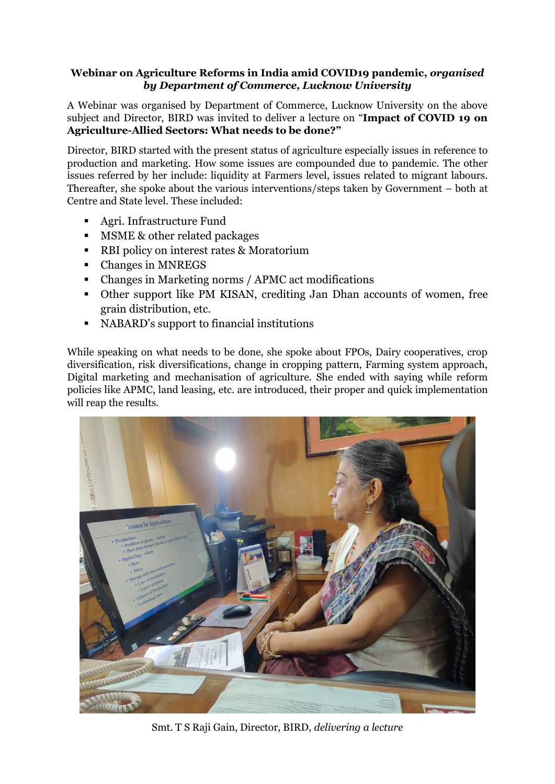## **Webinar on Agriculture Reforms in India amid COVID19 pandemic,** *organised by Department of Commerce, Lucknow University*

A Webinar was organised by Department of Commerce, Lucknow University on the above subject and Director, BIRD was invited to deliver a lecture on "**Impact of COVID 19 on Agriculture-Allied Sectors: What needs to be done?"**

Director, BIRD started with the present status of agriculture especially issues in reference to production and marketing. How some issues are compounded due to pandemic. The other issues referred by her include: liquidity at Farmers level, issues related to migrant labours. Thereafter, she spoke about the various interventions/steps taken by Government – both at Centre and State level. These included:

- Agri. Infrastructure Fund
- **MSME & other related packages**
- RBI policy on interest rates & Moratorium
- Changes in MNREGS
- Changes in Marketing norms / APMC act modifications
- Other support like PM KISAN, crediting Jan Dhan accounts of women, free grain distribution, etc.
- NABARD's support to financial institutions

While speaking on what needs to be done, she spoke about FPOs, Dairy cooperatives, crop diversification, risk diversifications, change in cropping pattern, Farming system approach, Digital marketing and mechanisation of agriculture. She ended with saying while reform policies like APMC, land leasing, etc. are introduced, their proper and quick implementation will reap the results.



Smt. T S Raji Gain, Director, BIRD, *delivering a lecture*